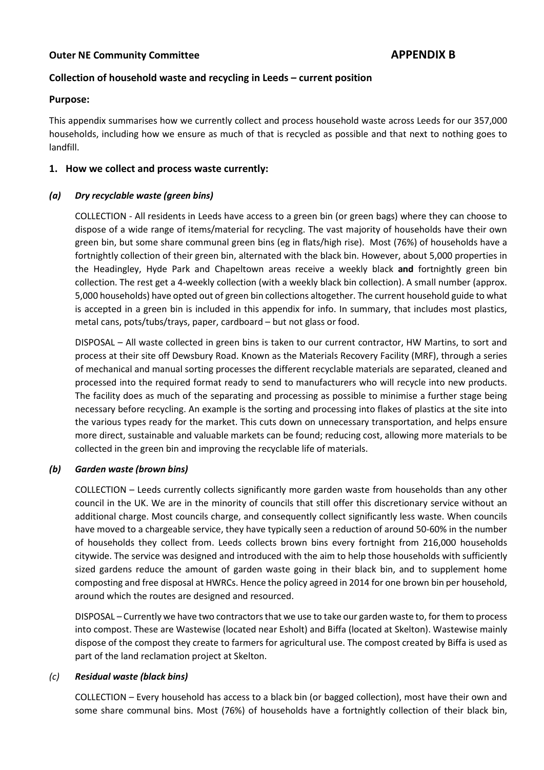# Collection of household waste and recycling in Leeds – current position

### Purpose:

This appendix summarises how we currently collect and process household waste across Leeds for our 357,000 households, including how we ensure as much of that is recycled as possible and that next to nothing goes to landfill.

## 1. How we collect and process waste currently:

# (a) Dry recyclable waste (green bins)

COLLECTION - All residents in Leeds have access to a green bin (or green bags) where they can choose to dispose of a wide range of items/material for recycling. The vast majority of households have their own green bin, but some share communal green bins (eg in flats/high rise). Most (76%) of households have a fortnightly collection of their green bin, alternated with the black bin. However, about 5,000 properties in the Headingley, Hyde Park and Chapeltown areas receive a weekly black and fortnightly green bin collection. The rest get a 4-weekly collection (with a weekly black bin collection). A small number (approx. 5,000 households) have opted out of green bin collections altogether. The current household guide to what is accepted in a green bin is included in this appendix for info. In summary, that includes most plastics, metal cans, pots/tubs/trays, paper, cardboard – but not glass or food.

DISPOSAL – All waste collected in green bins is taken to our current contractor, HW Martins, to sort and process at their site off Dewsbury Road. Known as the Materials Recovery Facility (MRF), through a series of mechanical and manual sorting processes the different recyclable materials are separated, cleaned and processed into the required format ready to send to manufacturers who will recycle into new products. The facility does as much of the separating and processing as possible to minimise a further stage being necessary before recycling. An example is the sorting and processing into flakes of plastics at the site into the various types ready for the market. This cuts down on unnecessary transportation, and helps ensure more direct, sustainable and valuable markets can be found; reducing cost, allowing more materials to be collected in the green bin and improving the recyclable life of materials.

## (b) Garden waste (brown bins)

COLLECTION – Leeds currently collects significantly more garden waste from households than any other council in the UK. We are in the minority of councils that still offer this discretionary service without an additional charge. Most councils charge, and consequently collect significantly less waste. When councils have moved to a chargeable service, they have typically seen a reduction of around 50-60% in the number of households they collect from. Leeds collects brown bins every fortnight from 216,000 households citywide. The service was designed and introduced with the aim to help those households with sufficiently sized gardens reduce the amount of garden waste going in their black bin, and to supplement home composting and free disposal at HWRCs. Hence the policy agreed in 2014 for one brown bin per household, around which the routes are designed and resourced.

DISPOSAL – Currently we have two contractors that we use to take our garden waste to, for them to process into compost. These are Wastewise (located near Esholt) and Biffa (located at Skelton). Wastewise mainly dispose of the compost they create to farmers for agricultural use. The compost created by Biffa is used as part of the land reclamation project at Skelton.

## (c) Residual waste (black bins)

COLLECTION – Every household has access to a black bin (or bagged collection), most have their own and some share communal bins. Most (76%) of households have a fortnightly collection of their black bin,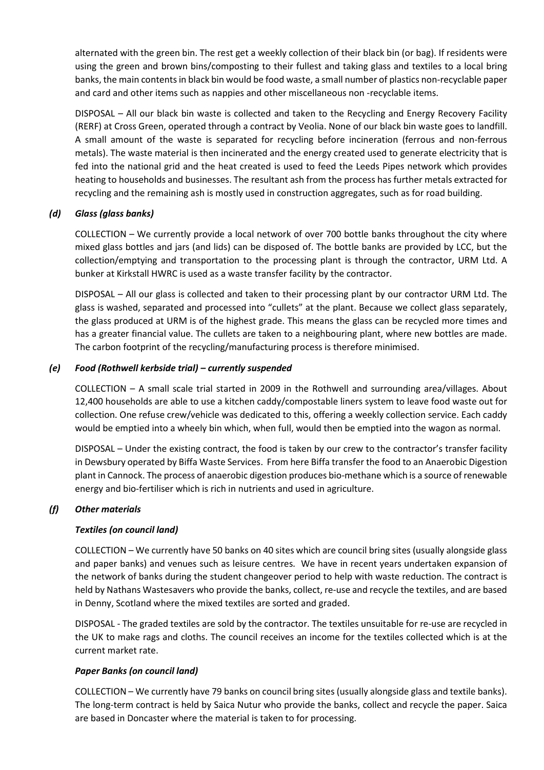alternated with the green bin. The rest get a weekly collection of their black bin (or bag). If residents were using the green and brown bins/composting to their fullest and taking glass and textiles to a local bring banks, the main contents in black bin would be food waste, a small number of plastics non-recyclable paper and card and other items such as nappies and other miscellaneous non -recyclable items.

DISPOSAL – All our black bin waste is collected and taken to the Recycling and Energy Recovery Facility (RERF) at Cross Green, operated through a contract by Veolia. None of our black bin waste goes to landfill. A small amount of the waste is separated for recycling before incineration (ferrous and non-ferrous metals). The waste material is then incinerated and the energy created used to generate electricity that is fed into the national grid and the heat created is used to feed the Leeds Pipes network which provides heating to households and businesses. The resultant ash from the process has further metals extracted for recycling and the remaining ash is mostly used in construction aggregates, such as for road building.

## (d) Glass (glass banks)

COLLECTION – We currently provide a local network of over 700 bottle banks throughout the city where mixed glass bottles and jars (and lids) can be disposed of. The bottle banks are provided by LCC, but the collection/emptying and transportation to the processing plant is through the contractor, URM Ltd. A bunker at Kirkstall HWRC is used as a waste transfer facility by the contractor.

DISPOSAL – All our glass is collected and taken to their processing plant by our contractor URM Ltd. The glass is washed, separated and processed into "cullets" at the plant. Because we collect glass separately, the glass produced at URM is of the highest grade. This means the glass can be recycled more times and has a greater financial value. The cullets are taken to a neighbouring plant, where new bottles are made. The carbon footprint of the recycling/manufacturing process is therefore minimised.

# (e) Food (Rothwell kerbside trial) – currently suspended

COLLECTION – A small scale trial started in 2009 in the Rothwell and surrounding area/villages. About 12,400 households are able to use a kitchen caddy/compostable liners system to leave food waste out for collection. One refuse crew/vehicle was dedicated to this, offering a weekly collection service. Each caddy would be emptied into a wheely bin which, when full, would then be emptied into the wagon as normal.

DISPOSAL – Under the existing contract, the food is taken by our crew to the contractor's transfer facility in Dewsbury operated by Biffa Waste Services. From here Biffa transfer the food to an Anaerobic Digestion plant in Cannock. The process of anaerobic digestion produces bio-methane which is a source of renewable energy and bio-fertiliser which is rich in nutrients and used in agriculture.

## (f) Other materials

## Textiles (on council land)

COLLECTION – We currently have 50 banks on 40 sites which are council bring sites (usually alongside glass and paper banks) and venues such as leisure centres. We have in recent years undertaken expansion of the network of banks during the student changeover period to help with waste reduction. The contract is held by Nathans Wastesavers who provide the banks, collect, re-use and recycle the textiles, and are based in Denny, Scotland where the mixed textiles are sorted and graded.

DISPOSAL - The graded textiles are sold by the contractor. The textiles unsuitable for re-use are recycled in the UK to make rags and cloths. The council receives an income for the textiles collected which is at the current market rate.

## Paper Banks (on council land)

COLLECTION – We currently have 79 banks on council bring sites (usually alongside glass and textile banks). The long-term contract is held by Saica Nutur who provide the banks, collect and recycle the paper. Saica are based in Doncaster where the material is taken to for processing.